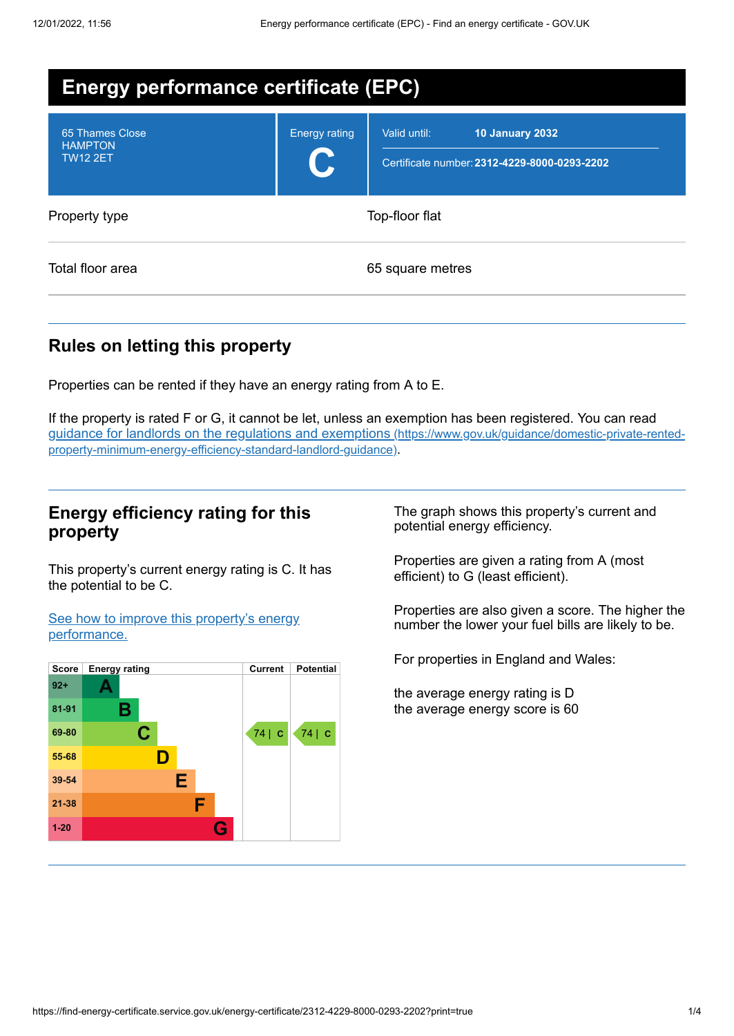| <b>Energy performance certificate (EPC)</b>          |                      |                                                                                        |  |  |
|------------------------------------------------------|----------------------|----------------------------------------------------------------------------------------|--|--|
| 65 Thames Close<br><b>HAMPTON</b><br><b>TW12 2ET</b> | <b>Energy rating</b> | Valid until:<br><b>10 January 2032</b><br>Certificate number: 2312-4229-8000-0293-2202 |  |  |
| Property type                                        | Top-floor flat       |                                                                                        |  |  |
| Total floor area                                     | 65 square metres     |                                                                                        |  |  |

# **Rules on letting this property**

Properties can be rented if they have an energy rating from A to E.

If the property is rated F or G, it cannot be let, unless an exemption has been registered. You can read guidance for landlords on the regulations and exemptions (https://www.gov.uk/guidance/domestic-private-rented[property-minimum-energy-efficiency-standard-landlord-guidance\)](https://www.gov.uk/guidance/domestic-private-rented-property-minimum-energy-efficiency-standard-landlord-guidance).

## **Energy efficiency rating for this property**

This property's current energy rating is C. It has the potential to be C.

See how to improve this property's energy [performance.](#page-2-0)



The graph shows this property's current and potential energy efficiency.

Properties are given a rating from A (most efficient) to G (least efficient).

Properties are also given a score. The higher the number the lower your fuel bills are likely to be.

For properties in England and Wales:

the average energy rating is D the average energy score is 60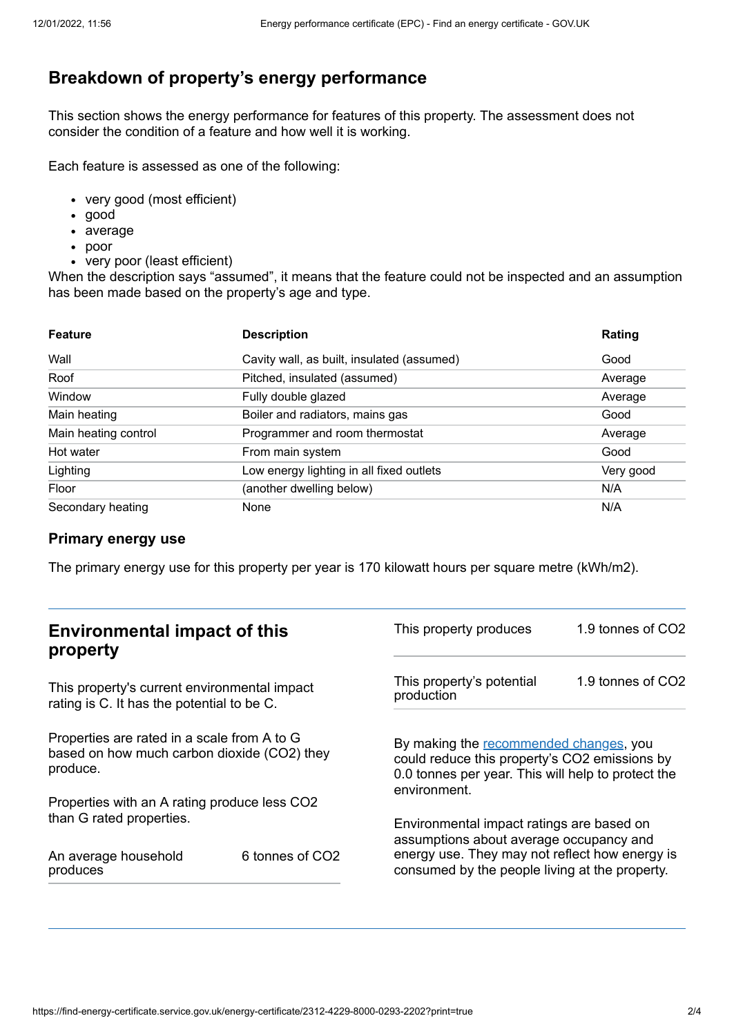# **Breakdown of property's energy performance**

This section shows the energy performance for features of this property. The assessment does not consider the condition of a feature and how well it is working.

Each feature is assessed as one of the following:

- very good (most efficient)
- good
- average
- poor
- very poor (least efficient)

When the description says "assumed", it means that the feature could not be inspected and an assumption has been made based on the property's age and type.

| <b>Feature</b>       | <b>Description</b>                         | Rating    |
|----------------------|--------------------------------------------|-----------|
| Wall                 | Cavity wall, as built, insulated (assumed) | Good      |
| Roof                 | Pitched, insulated (assumed)               | Average   |
| Window               | Fully double glazed                        | Average   |
| Main heating         | Boiler and radiators, mains gas            | Good      |
| Main heating control | Programmer and room thermostat             | Average   |
| Hot water            | From main system                           | Good      |
| Lighting             | Low energy lighting in all fixed outlets   | Very good |
| Floor                | (another dwelling below)                   | N/A       |
| Secondary heating    | None                                       | N/A       |

#### **Primary energy use**

The primary energy use for this property per year is 170 kilowatt hours per square metre (kWh/m2).

| <b>Environmental impact of this</b><br>property                                                        |                 | This property produces                                                                                                                                        | 1.9 tonnes of CO2 |
|--------------------------------------------------------------------------------------------------------|-----------------|---------------------------------------------------------------------------------------------------------------------------------------------------------------|-------------------|
| This property's current environmental impact<br>rating is C. It has the potential to be C.             |                 | This property's potential<br>production                                                                                                                       | 1.9 tonnes of CO2 |
| Properties are rated in a scale from A to G<br>based on how much carbon dioxide (CO2) they<br>produce. |                 | By making the recommended changes, you<br>could reduce this property's CO2 emissions by<br>0.0 tonnes per year. This will help to protect the<br>environment. |                   |
| Properties with an A rating produce less CO2                                                           |                 |                                                                                                                                                               |                   |
| than G rated properties.                                                                               |                 | Environmental impact ratings are based on<br>assumptions about average occupancy and                                                                          |                   |
| An average household<br>produces                                                                       | 6 tonnes of CO2 | energy use. They may not reflect how energy is<br>consumed by the people living at the property.                                                              |                   |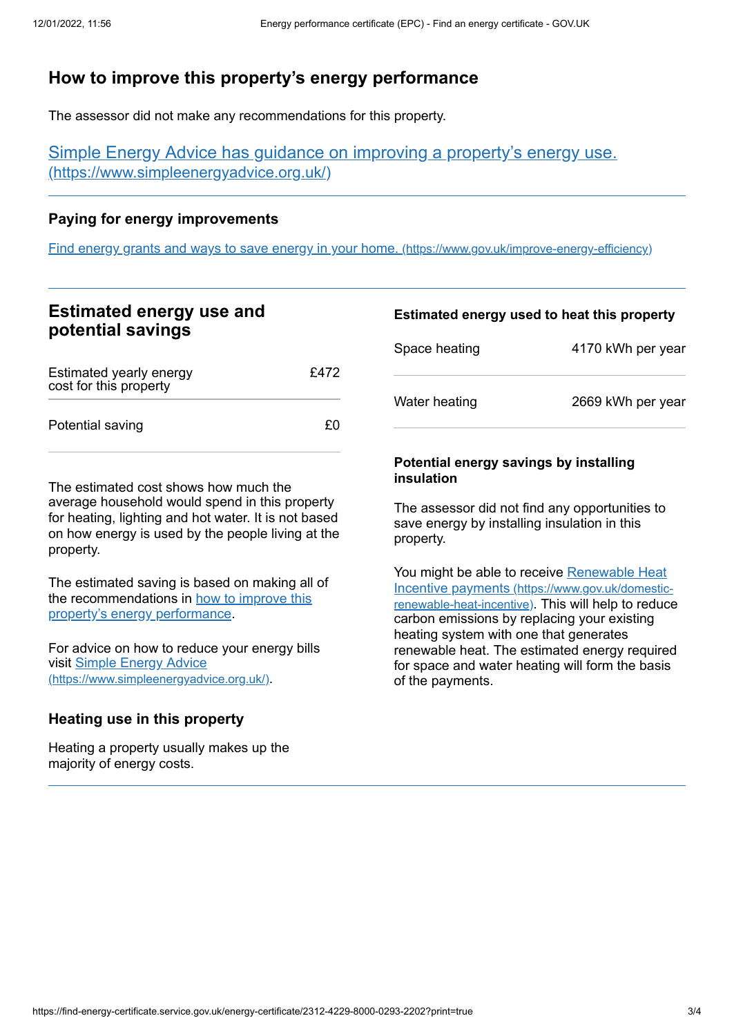# <span id="page-2-0"></span>**How to improve this property's energy performance**

The assessor did not make any recommendations for this property.

Simple Energy Advice has guidance on improving a property's energy use. [\(https://www.simpleenergyadvice.org.uk/\)](https://www.simpleenergyadvice.org.uk/)

### **Paying for energy improvements**

Find energy grants and ways to save energy in your home. [\(https://www.gov.uk/improve-energy-efficiency\)](https://www.gov.uk/improve-energy-efficiency)

## **Estimated energy use and potential savings**

| Estimated yearly energy<br>cost for this property | £472 |
|---------------------------------------------------|------|
| Potential saving                                  | £0.  |

The estimated cost shows how much the average household would spend in this property for heating, lighting and hot water. It is not based on how energy is used by the people living at the property.

The estimated saving is based on making all of the [recommendations](#page-2-0) in how to improve this property's energy performance.

For advice on how to reduce your energy bills visit Simple Energy Advice [\(https://www.simpleenergyadvice.org.uk/\)](https://www.simpleenergyadvice.org.uk/).

### **Heating use in this property**

Heating a property usually makes up the majority of energy costs.

#### **Estimated energy used to heat this property**

| Space heating | 4170 kWh per year |
|---------------|-------------------|
| Water heating | 2669 kWh per year |

#### **Potential energy savings by installing insulation**

The assessor did not find any opportunities to save energy by installing insulation in this property.

You might be able to receive Renewable Heat Incentive payments [\(https://www.gov.uk/domestic](https://www.gov.uk/domestic-renewable-heat-incentive)renewable-heat-incentive). This will help to reduce carbon emissions by replacing your existing heating system with one that generates renewable heat. The estimated energy required for space and water heating will form the basis of the payments.